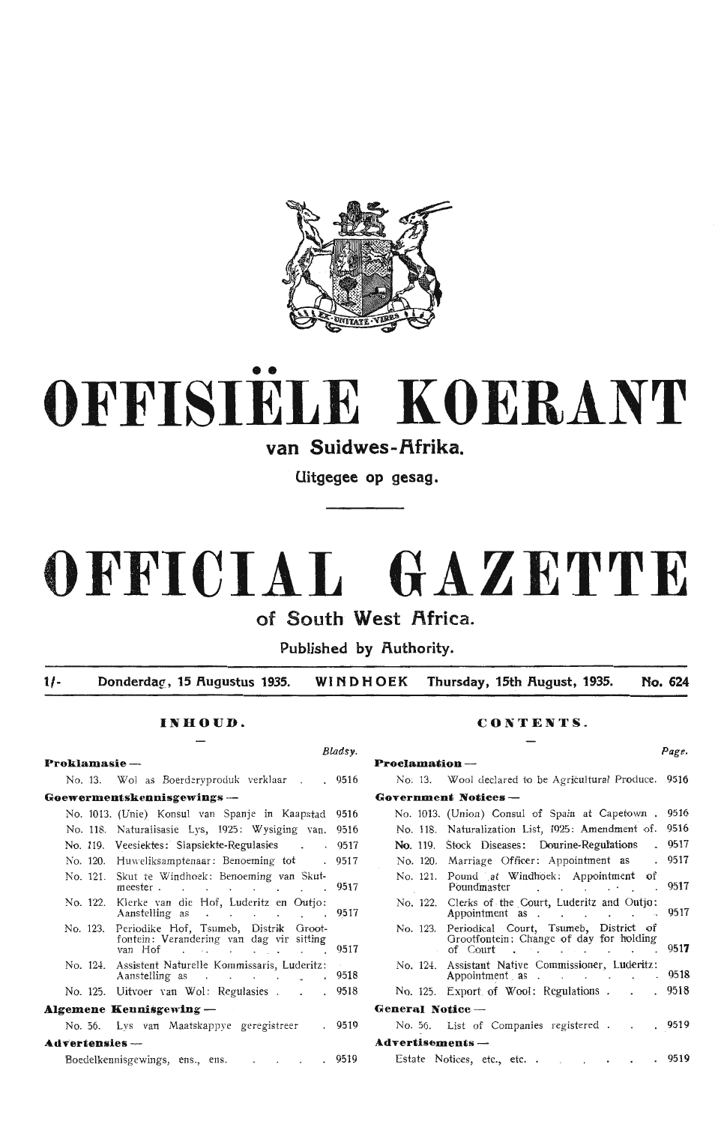

# •• **OFFISIELE KOERANT**

van Suidwes-Afrika.

**Uitgegee op gesag.** 

# **OFFICIAL GAZETTE**

of South West Africa.

**Published by Authority.** 

**1/- Donderdag:, 15 Augustus 1935. WINDHOEK Thursday, 15th Rugust, 1935. No. 624** 

| Proklamasie-                                                                                               | <b>Proclamation</b> --                                                                                     |  |
|------------------------------------------------------------------------------------------------------------|------------------------------------------------------------------------------------------------------------|--|
| No. 13. Wol as Boerderyproduk verklaar 9516                                                                | No. 13. Wool declared to be Agricultural Produce. 9516                                                     |  |
| Goewermentskennisgewings --                                                                                | <b>Government Notices --</b>                                                                               |  |
| No. 1013. (Unie) Konsul van Spanje in Kaapstad 9516                                                        | No. 1013. (Union) Consul of Spain at Capetown . 9516                                                       |  |
| No. 118. Naturalisasie Lys, 1925: Wysiging van. 9516                                                       | No. 118. Naturalization List, 1925: Amendment of. 9516                                                     |  |
| No. 119. Veesiektes: Slapsiekte-Regulasies 9517                                                            | No. 119. Stock Diseases: Dourine-Regulations . 9517                                                        |  |
| No. 120. Huweliksamptenaar: Benoeming tot 19517                                                            | No. 120. Marriage Officer: Appointment as . 9517                                                           |  |
| No. 121. Skut te Windhoek: Benoeming van Skut-<br>meester. 9517                                            | No. 121. Pound at Windhoek: Appointment of<br>Poundmaster 9517                                             |  |
| No. 122. Klerke van die Hof, Luderitz en Outjo:<br>Aanstelling as 9517                                     | No. 122. Clerks of the Court, Luderitz and Outjo:<br>Appointment as 9517                                   |  |
| No. 123. Periodike Hof, Tsumeb, Distrik Groot-<br>fontein: Verandering van dag vir sitting<br>van Hof 9517 | No. 123. Periodical Court, Tsumeb, District of<br>Grootfontein: Change of day for holding<br>of Court 9517 |  |
| No. 124. Assistent Naturelle Kommissaris, Luderitz:<br>Aanstelling as 9518                                 | No. 124. Assistant Native Commissioner, Luderitz:<br>Appointment as 9518                                   |  |
| No. 125. Uitvoer van Wol: Regulasies 9518                                                                  | No. 125. Export of Wool: Regulations 9518                                                                  |  |
| Algemene Kennisgewing $-$                                                                                  | General Notice --                                                                                          |  |
| No. 56. Lys van Maatskappye geregistreer . 9519                                                            | No. 56. List of Companies registered 9519                                                                  |  |
| Advertensies --                                                                                            | Advertisements-                                                                                            |  |
| Boedelkennisgewings, ens., ens. 9519                                                                       | Estate Notices, etc., etc. 9519                                                                            |  |

# **INHOUD. CONTENTS.**

*Bladsy. Page.* 

| No. 13. Wol as Boerderyproduk verklaar 9516                                                                | No. 13. Wool declared to be Agricultural Produce. 9516                                                                       |
|------------------------------------------------------------------------------------------------------------|------------------------------------------------------------------------------------------------------------------------------|
| ew <b>ermentskennisgewings</b> ---                                                                         | Government Notices -                                                                                                         |
| No. 1013. (Unie) Konsul van Spanje in Kaapstad 9516                                                        | No. 1013. (Union) Consul of Spain at Capetown . 9516                                                                         |
| No. 118. Naturalisasie Lys, 1925: Wysiging van. 9516                                                       | No. 118. Naturalization List, 1925: Amendment of. 9516                                                                       |
| No. 119. Veesiektes: Slapsiekte-Regulasies 9517                                                            | No. 119. Stock Diseases: Dourine-Regulations . 9517                                                                          |
| No. 120. Huweliksamptenaar: Benoeming tot 19517                                                            | No. 120. Marriage Officer: Appointment as . 9517                                                                             |
| No. 121. Skut te Windhoek: Benoeming van Skut-<br>meester 9517                                             | No. 121. Pound at Windhoek: Appointment of<br>Poundmaster 9517                                                               |
| No. 122. Klerke van die Hof, Luderitz en Outjo:<br>Aanstelling as 9517                                     | No. 122. Clerks of the Court, Luderitz and Outjo:<br>Appointment as 9517                                                     |
| No. 123. Periodike Hof, Tsumeb, Distrik Groot-<br>fontein: Verandering van dag vir sitting<br>van Hof 9517 | No. 123. Periodical Court, Tsumeb, District of<br>Grootfontein: Change of day for holding<br>of Court . $\qquad \qquad$ 9517 |
| No. 124. Assistent Naturelle Kommissaris, Luderitz:<br>Aanstelling as 9518                                 | No. 124. Assistant Native Commissioner, Luderitz:<br>Appointment as 9518                                                     |
| No. 125. Uitvoer van Wol: Regulasies 9518                                                                  | No. 125. Export of Wool: Regulations 9518                                                                                    |
| emene Kennisgewing —                                                                                       | General Notice --                                                                                                            |
| No. 56. Lys van Maatskappye geregistreer 1. 9519                                                           | No. 56. List of Companies registered 9519                                                                                    |
| vertensies —                                                                                               | Advertisements --                                                                                                            |
| $\mathcal{D}_{\text{each}}$                                                                                | 0510<br>$0510$ $5\epsilon + 12$ $5\epsilon + 12$ $5\epsilon + 12$ $5\epsilon + 12$                                           |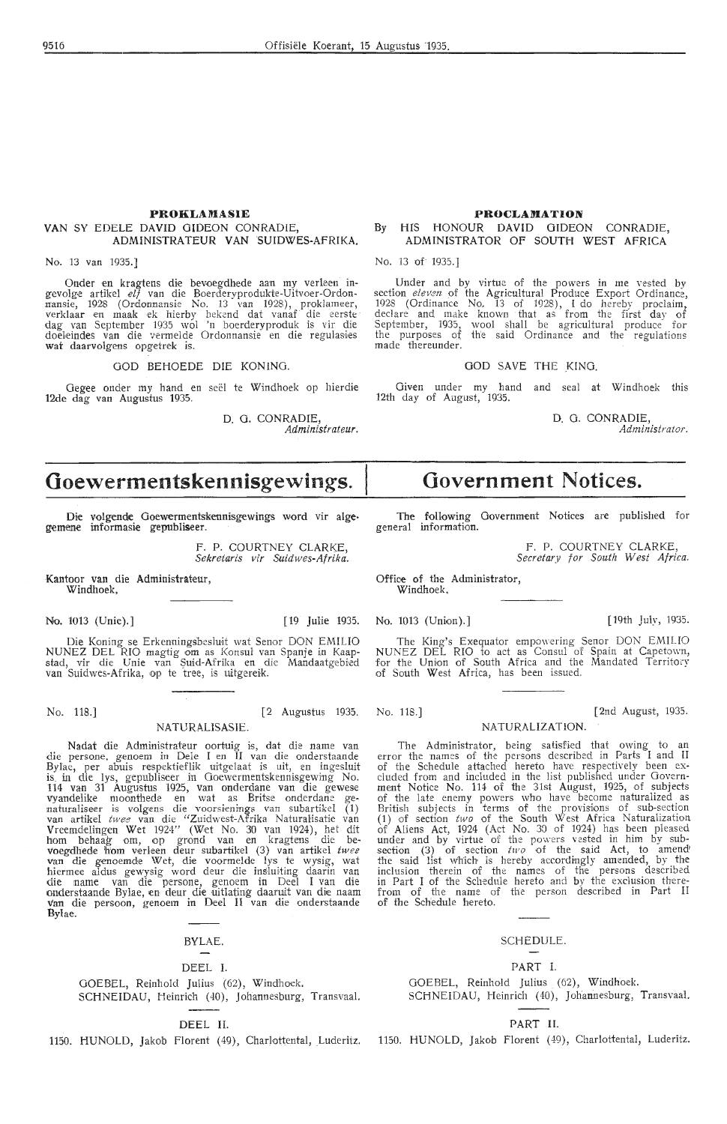# **PROKLAMASIE VAN** SY EDELE DAVID GIDEON CONRADIE, ADMINISTRATEUR VAN SUIDWES-AFRIKA.

No. 13 van 1935.]

Onder en kragtens die bevoegdhede aan my verleen ingevolge artikel *elf v*an die Boerderyprodukte-Uitvoer-Ordon-<br>mansie, 1928 (Ordonnansie No. 13 van 1928), proklameer, verklaar en maak ek hierby bekend dat vanaf die eerste dag van September 1935 wol 'n boerderyproduk is vir die doeleindes van die vermelde Ordonnansie en die regulasies wat daarvolgens opgetrek is.

GOD BEHOEDE DIE KONING.

Gegee onder my hand en seel te Windhoek op hierdie 12de dag van Augustus 1935.

> D. G. CONRADIE, *Administrateur.*

# **PROCLAMATION**

# **By HIS HONOUR DAVID GIDEON** CONRADIE, **ADMINISTRATOR OF SOUTH WEST AFRICA**

No. 13 of 1935.]

Under and by virtue of the powers in me vested by section *eleven* of the Agricultural Produce Export Ordinance, 1928 (Ordinance No, 13 of 1928), I do hereby proclaim, declare and make known that as from the first day of September, 1935, wool shall be agricultural produce for the purposes of th'e said Ordinance and the regulations made thereunder.

## GOD SAVE THE KING.

Given under my hand and seal at Windhoek this 12th day of August, 1935.

D. G. CONRADIE, *Administrator.* 

# **Ooewermentskennisgewings.**

Die volgende Goewermentskennisgewings word vir alge• gemene informasie gepubliseer.

> F. P. COURTNEY CLARKE, *Sekretaris vir Suidwes-Afrika.*

Kantoor van die Administrateur, Windhoek,

Die Koning se Erkenningsbesluit wat Senor DON EMILIO NUNEZ DEL RIO magtig om as Konsul van Spanje in Kaapstad, vir die Unie van Suid-Afrika en die Mandaatgebied<br>van Suidwes-Afrika, op te tree, is uitgereik.

No. 118.] [2 Augustus 1935.

# NATURALISASIE.

Nadat die Administrateur oortuig is, dat die name van die persone, genoem in Dele I en II van die onderstaande Bylae, per abuis respektieflik uitgelaat is uit, en ingesluit is in die lys, gepubliseer in Goewermentskennisgewing No. 114 van 31 Augustus 1925, van onderdane van die gewese vyandelike mo011thede en wat as Britse onderdane genaturaliseer is volgens die voorsienings van subartikel (1)<br>van artikel *twee* van die "Zuidwest-Afrika Naturalisatie van Vreemde!ing,en Wet 1924" (Wet No. 30 van 1924), het dit horn behaag om, op grond van en kragtens die bevoegdhede horn v,erleen deur subartikel (3) van artikel *twee* van die genoemde \Vet, die voormelde lys te wysig, wat hiermee aldus gewysig word deur die insluiting daarin van<br>die name van die persone, genoem in Deel I van die onderstaande Bylae, en deur die uitlating daaruit van die naam<br>van die persoon, genoem in Deel II van die onderstaande Bylae.

# BYLAE.

## DEEL I.

GOEBEL, Reinhold Julius (62), Windhoek. SCHNEIDAU, Heinrich (40), Johannesburg, Transvaal.

# DEEL II.

1150. HUNOLD, Jakob Florent (49), Charlottental, Luderitz.

# **Government Notices.**

The following Government Notices are published for general information.

> F. P. COURTNEY CLARKE, Secretary for South West Africa.

Office of the Administrator, Windhoek,

No. 1013 (Unie).] [19 Julie 1935. No. 1013 (Unton).] [19th July, 1935.

The King's Exequator empowering Senor DON EMILIO NUNEZ DEL RIO to act as Consul of Spain at Capetown, for the Union of South Africa and the Mandated Territory of South West Africa, has been issued.

No. 118.] [ 2nd August, 1935.

# NATURALIZATION.

The Administrator, being satisfied that owing to an error the names of the persons described in Parts I and !I of the Schedule attached hereto have respectively been ex- cluded from and included in the list published under Govern- ment Notice No. 114 of the 31st August, 1925, of subjects of the late enemy powers who have become naturalized as British subjects in terms of the provisions of sub-section (1) of section *two* of the South West Africa Naturalization of Aliens Act, 1924 (Act No. 30 of 1924) has been pleased under and by virtue of the powers vested in him by sub-<br>section (3) of section  $two$  of the said Act, to amend' the said list which is hereby accordingly amended, by the inclusion therein of the names of the persons described in Part I of the Schedule hereto and by the exclusion therefrom of the name of the person described in Part II of the Schedule hereto.

# SCHEDULE.

## PART I.

GOEBEL, Reinhold Julius (62), Windhoek. SCHNEIDAU, Heinrich (40), Johannesburg, Transvaal.

# PART II.

1150. HUNOLD, Jakob Florent (49), Charlottental, Luderitz.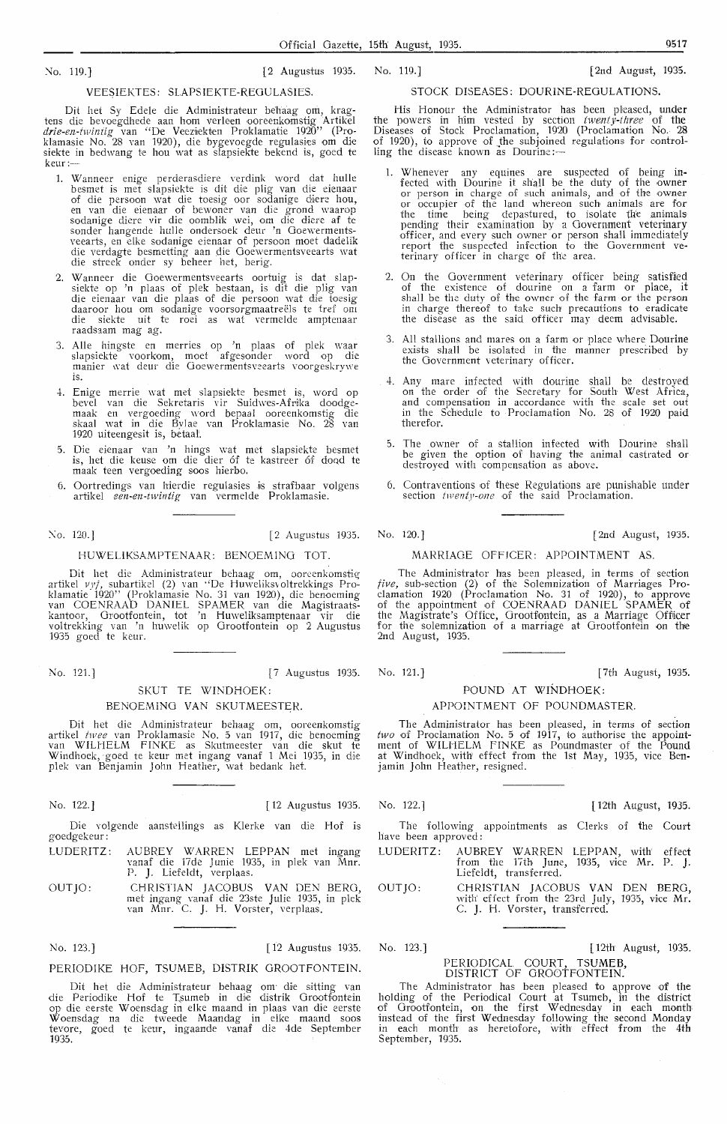>lo. 119.] [2 Augustus 1935.

# No. 119.] [2nd August, 1935.

### VEE\$IEKTES: SLAPSIEKTE-REOULASIES.

Dit het Sy Edele die Administrateur behaag om, kragtens die bevoegdhede aan horn verleen ooreenkomstig Artikel *drie-en-twintig* van "De Veezuekten Proklamahe 1920" (Proklamasie No. 28 van 1920), die bygevoegde regulasies om die siekte in bedwang te hou wat as slapsiekte bekend is, goed te keur:-

- 1. Wanneer enige perderasdiere verdink word dat hulle besmet is met slapsiekte is dit die plig van die eienaar of die persoon wat die toesig oor sodanige diere hou,<br>en van die eienaar of bewoner van die grond waarop sodanige diere vir die oomblik wei, om die diere af te sonder hangende hulle ondersoek deur 'n Goewerments-<br>veearts, en elke sodanige eienaar of persoon moet dadelik die verdagte besmetting aan die Ooewermentsveearts wat die streek onder sy beheer het, berig.
- 2. Wanneer die Ooewermentsveearts oortuig is dat slapsiekte op 'n plaas of plek bestaan, is dit die plig van<br>die eienaar van die plaas of die persoon wat die toesig daaroor hou om sodanige voorsorgmaatreels te tref om die siekte uit te roei as wat vermelde amptenaar raadsaam mag ag.
- 3. Alle hingste en merries op 'n plaas of plek waar<br>slapsiekte voorkom, moet afgesonder word op die manier wat deur die Goewermentsveearts voorgeskrywe is.
- -±. Enige merrie wat met slapsiekte besmet is, word op bevel van die Sekretaris vir Suidwes-Afrika doodgemaak en vergoeding word bepaa! ooreenkomstig die skaal wat in die Bylae van Proklamasie No. 28 van<br>1920 uiteengesit is, betaal.
- 5. Die eienaar van 'n hings wat met slapsiekte besmet is, het die keuse om die dier 6f te kastreer 6f doqd te maak teen vergoeding soos hierbo.
- 6. Oortredings van hierdie regulasies is strafbaar volgens artikel *een-en-twintig* van vermelde Proklamasie.

No. 120.] [2 Augustus 1935.

# HUWELIKSAMPTENAAR: BENOEMINO TOT.

Dit het die Administrateur behaag om, ooreenkomstig artikel *vyf,* subartikel (2) van ·'De Huweliksvoltrekkings Proklamatie 192D'' (Proklamasie No. 31 van 1920), die benoeming van COENRAAD DANIEL SPAMER van die Magistraatskantoor, Grootfontein, tot 'n Huweliksamptenaar vir die voltrekking van 'n huwelik op Orootfontein op 2 Augustus 1935 goecl te keur.

No. 121.] [7 Augustus 1935.

# SKUT TE WINDHOEK:

## BENOEMINO VAN SKUTMEESTER.

Dit het die Administrateur behaag om, ooreenkomstig artikel *twee* van Proklamasie No. 5 van 1917, die benoeming van WILHELM FINKE as Skutmeester van die skut te Windhoek, goed te keur met ingang vanaf 1 Mei 1935, in die plek van Benjamin John Heather, wat bedank het.

No. 122.] [ 12 Augustus 1935.

Die volgende aanstellings as Klerke van die Hof is goedgekeur:

- LUDERITZ: AUBREY WARREN LEPPAN met ingang vanaf die 17de Junie 1935, in plek van Mnr. P. J. Liefeldt, verplaas.
- OUTJO: CHRISTIAN JACOBUS VAN DEN BERO, met ingang vanaf die 23ste Julie 1935, in plek van Mnr. C. J. H. Vorster, verplaas.

No. 123.J

[ 12 Augustus 1935.

# PERIODIKE HOF, TSUMEB, DISTRIK GROOTFONTEIN.

Dit het die Administrateur behaag om die sitting van die Periodike Iiof te T,sumeb in die distrik Orootfontein op die eerste Woensdag in elke maand in plaas van die eerste Woensdag na die tweede Maandag in elke maand soos<br>tevore, goed te keur, ingaande vanaf die 4de September 1935.

# STOCK DISEASES: DOURINE-REOULATIONS.

His Honour the Administrator has been pleased, under the powers in him vested by section *twenty-three* of the Diseases of Stock Proclamation, 1920 (Proclamation No. 28 of 1920), to approve of the subjoined regulations for controlling the disease known as Dourine:—

- 1. Whenever any equines are suspected of being infected with Dourine it shall be the duty of the owner or person in charge of such animals, and of the owner or occupier of the land whereon such animals are for the time being depastured, to isolate the animals pending their examination by a Government veterinary officer, and every such owner or person shall immediately report the suspected infection to the Government veterinary officer in charge of the area.
- 2. On the Government veterinary officer being satisfaied of the existence of dourine on a farm or place, it shall be the duty of the owner of the farm or the person in charge thereof to take such precautions to eradicate the disease as the said officer may deem advisable.
- 3. All stallions and mares on a farm or place where Dourine exists shall be isolated in the manner prescribed by the Government veterinary officer.
- 4. Any mare infected with dourine shall be destroyed on the order of the Secretary for South West Africa, and compensation in accordance with the scale set out in the Schedule to Proclamation No. 28 of 1920 paid therefor.
- 5. The owner of a stallion infected with Dourine shall be given the option of having the animal castrated or destroyed with compensation as above.
- 6. Contraventions of these Regulations are punishable under section *twenty-one* of the said Proclamation.

No. 120.] [2nd August, 1935.

# MARRIAGE OFFICER: APPOINTMENT AS.

The Administrator has been pleased, in terms of section *five,* sub-section (2) of the Solemnization of Marriages Proclamation 1920 (Proclamation No. 31 of 1920), to approve of the appointment of COENRAAD DANIEL SPAMER of the Magistrate's Office, Grootfontein, as a Marriage Offiicer for the solemnization of a marriage at Orootfontein on the 2nd August, 1935.

No. 121.] [7th August, 1935.

# POUND AT WINDHOEK: APPOINTMENT OF POUNDMASTER.

The Administrator has been pleased, in terms of section two of Proclamation No. 5 of 1917, to authorise the appointment of WILHELM FINKE as Poundmaster of the Pound at Windhoek, with effect from the 1st May, 1935, vice Benjamin John Heather, resigned.

No. 122.] [ 12th August, 1935.

The following appointments as Clerks of the Court have been approved:

- LUDERITZ: AUBREY WARREN LEPPAN, with effect from the 17th June, 1935, vice Mr. P. **J.**  Liefeldt, transferred.
- OUTJO: CHRISTIAN JACOBUS **VAN** DEN BERO, with effect from the 23rd July, 1935, vice Mr.<br>C. J. H. Vorster, transferred.

No. 123.] [ 12th August, 1935.

### PERIODICAL COURT, TSUMEB, DISTRICT OF OROOTFONTEIN.

The Administrator has been pleased to approve of the holding of the Periodical Court at Tsumeb, in the district of Grootfontein, on the first Wednesday in each month instead of the first Wednesday following the second Monday in each month as heretofore, with effect from the 4th September, 1935.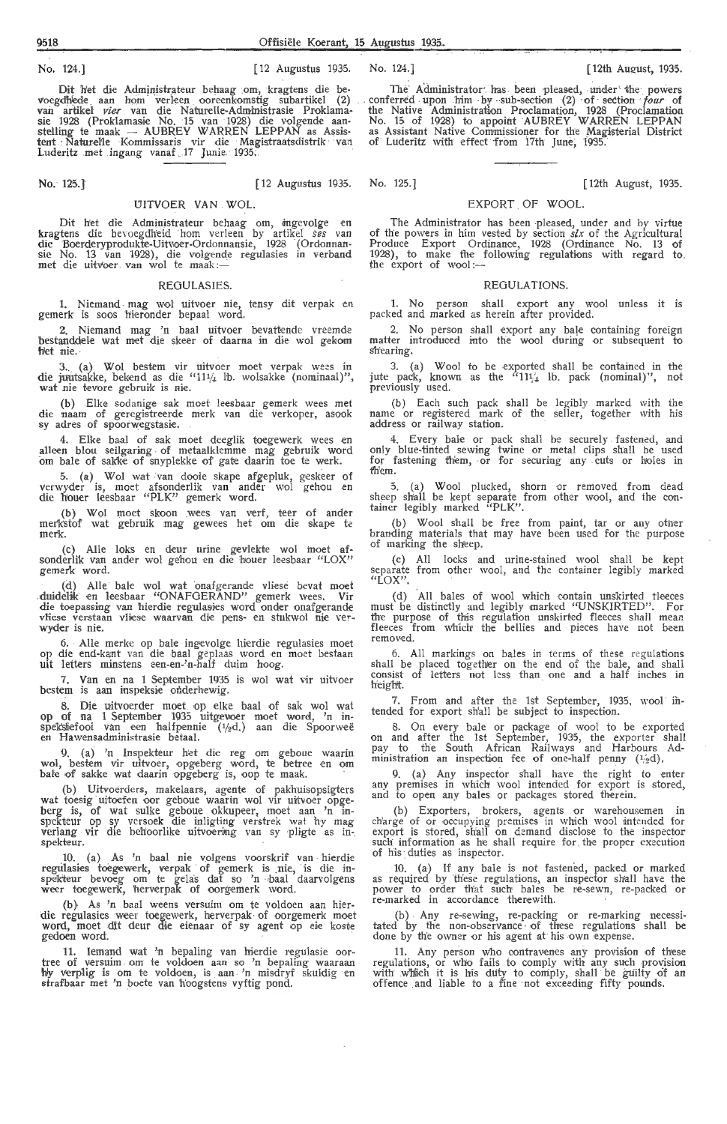No. 124.] [ 12 Augustus 1935. No. 124.] [ 12th August, 1935.

tent *:* Nahtr-elle Kommissaris vir die Magistraatsdistrik va:i of Luderitz With effect from 17th June; 1935. Luderitz .met ingang vanaf . .17 Junie. 1935:

No. 125.] [ 12 Augustus 1935.

# UITVOER VAN WOL.

Dit het die Administrateur behaag om, ingevolge en<br>kragtens die bevoegdheid hom verleen by artikel *ses* van<br>die Boerderyprodukte-Uitvoer-Ordonnansie, 1928 (Ordonnansie No. 13 van 1928), die volgende regulasies in verband met die uitvoer van wol te maak:-

## REGULASIES.

1. Niemand . mag wol uitvoer nie, tensy dit verpak en gemerk is soos hieronder bepaal word.

2. Niemand mag 'n baal uitvoer bevattende vreemde bestanddele wat met die skeer of daarna in die wol gekom het nie.

3. (a) Wol bestem vir uitvoer moet verpak wees in die juutsakke, bekend as die "11 $\frac{1}{4}$  lb. wolsakke (nominaal)", wat nie tevore gebruik is nie.

(b) Elke sodanige sak moet leesbaar gemerk wees met die naam of geregistreerde merk van die verkoper, asook sy adres of spoorwegstasie.

4. Elke baal of sak moet deeglik toegewerk wees en alleen blou seilgaring of metaalklemme mag gebruik word om bale of sakke of snyplekke of gate daarin toe te werk.

5. (a) Wol wat van dooie skape afgepluk, geskeer of verwyder *is,* moet afsonderlik van ander wol gehou en die h'ouer leesbaar "PLK" gemerk word.

(b) Wol moet skoon wees van verf, teer of ander mer'kstof wat gebruik mag gewees het om die skape te merk

(c) Alie loks en deur urine gevlekte wol inoet afsonderlik van ander wol gehou en die houer le-esbaar "LOX" gemerk word.

(d) Alie bale wol wat onafgerande vliese hevat mod .duidelik ,en leesbaar "ONAFOERAND" gemerk wees. Vir die toepassing van hierdie regulasies word onder onafgerande vliese verstaan vliese waarvan die pens- en stukwol nie ver- wyder is nie.

6. Alle merke op bale ingevolge hierdie regulasies moet op die end-kant van die baa! geplaas word en moet bestaan uit letters minstens een-en-'n-half duim hoog.

7. Van en na 1 September 1935 is wol wat vir uitvoer bestem is aan fnspeksie onderhewig.

8. Die uitvoerder moet op elke baal of sak wol wat op of na 1 September 1935 uitgevoer moet word, 'n in-<br>speksiefooi van een halfpennie (½d.) aan die Spoorweë<br>en Hawensadministrasie betaal.

9. (a) 'n Inspekteur het die reg om geboue waarin wol, bestem vir uitvoer, opgeberg word, te betree en om<br>bale of sakke wat daarin opgeberg is, oop te maak.

(b) Uitvoerders, makelaars, agente of pakhuisopsigters wat toesig · uitoefen oor geboue waarin wol vir uitvoer opgeberg is, of wat sulke geboue okkupeer, moet aan 'n in- spekteur op sy versoek die inligting verstrek wat hy mag verlang vir die behoorlike uitvoering van sy pligte as inspekteur.

10. (a) As *'n* baa! nie volgens voorskrif van • hierdie regulasies toegewerk, verpak of gemerk is nie, is die in-<br>spekteur bevoeg om te gelas dat so 'n baal daarvolgens<br>weer toegewerk, herverpak of oorgemerk word.

(b), As 'n baal weens versuim om te voldoen aan hierdie regulasies weer toegewerk, herverpak of oorgemerk moet word, moet dit deur die eienaar of sy agent op eie koste gedoen word. *a section word.* 

11. Iemand wat 'n bepaling van hierdie regulasie oor-<br>tree of versuim om te voldoen aan so 'n bepaling waaraan<br>hy verplig is om te voldoen, is aan 'n misdryf skuldig en<br>strafbaar met 'n boete van hoogstens vyftig pond.

Dit het die Administrateur behaag om, kragtens die be- The Administrator has been pleased, under the powers voegdhede aan hom verleen ooreenkomstig subartikel (2) conferred upon him by sub-section (2) of section *four* of voegdhiede aan hom verleen ooreenkomstig subartikel (2) conferred upon him by sub-section (2) of section *four* of van artikel *vier* van die Naturelle-Administrasie Proklama- the Native Administration Proclamation, 1928 (Proclamation<br>sie 1928 (Proklamasie No. 15 van 1928) die volgende aan- No. 15 of 1928) to appoint AUBREY WARREN LEP stelling te maak -- AUBREY WARREN LEPPAN as Assis- as Assistant Native Commissioner for the Magisterial District

No. 125.] ( 12th August, 1935.

# EXPORT OF WOOL.

The Administrator has been pleased, under and by virtue of the powers in him vested by section *six* of the Agricultural Produce Export Ordinance, 1928 (Ordinance No. 13 of 1928), to make the following regulations with regard to. the export of wool:-

## REGULATIONS.

1. No person shall export any wool unless it is packed and marked as herein after provided.

2. No person shall export any bale containing foreign matter introduced into the wool during or subsequent to shearing.

3. (a) Wool to be exported shall be contained in the jute pack, known as the  $^{111/4}$  lb. pack (nominal)'', not previously used.

(b) Each such pack shall be legibly marked with the name or register-ed mark of the seller, together with his address or railway station.

4. Every bale or pack shall be securely . fastened, and only blue-tinted sewing twine or metal clips shall be used for fastening them, or for securing any cuts or holes in th'em.

5. (a) Wool plucked, shorn or removed from dead sheep shall be kept separate from other wool, and the con-<br>tainer legibly marked ''PLK''.

(b) Wool shall be free from paint, tar or any other branding materials that may have been used for the purpose of marking the sheep.

(c) All locks and urine-stained wool shall be kept separate from other wool, and the container legibly marked "LOX".

(d) All bales of wool which contain unskirted tleeces must be distinctly and legibly marked "UNSKIRTED". For the purpose of this regulation unskirkd fleeces shall mean fleeces from which the bellies and pieces have not been removed.

6. All markings on bales in terms of these regulations shall be placed together on the encl of the bale, and shall consist of letters not less than one and a half inches in height.

7. From and after the 1st September, 1935, wool intended for export sh'all be subject to inspection.

8. On every bale or package of wool to be exported on and after the 1st September, 1935, the exporter shall pay to the South African Railways and Harbours Administration an inspection fee of one-half penny  $(1/2)d$ ).

9. (a) Any inspector shall have the right to enter any premises in which wool intended for export is stored, and to open any bales or packages stored therein.

(b) Exporters, brokers, agents or warehousemen in ch'arge of or occupying premises in which wool intended for export is stored, shall on d~mand disclose *to* the inspector such information as he shall require for the proper execution of his· duties as inspector.

10. (a) If any bale is not fastened, packed or marked as required by these regulations, an inspector shall have the power to order that such bales be re-sewn, re-packed or re-marked in accordance therewith.

(b) . Any re-sewing, re-packing or re-marking necessi-tated by fhe non-observance · of these regulations shall be done by th'e owner or his agent at his own expense.

11. Any person who contravenes any provision of these regulations, or who fails to comply with any such provision with which it is his duty to comply, shall be guilty of an offence and liable to a fine not exceeding fifty pounds.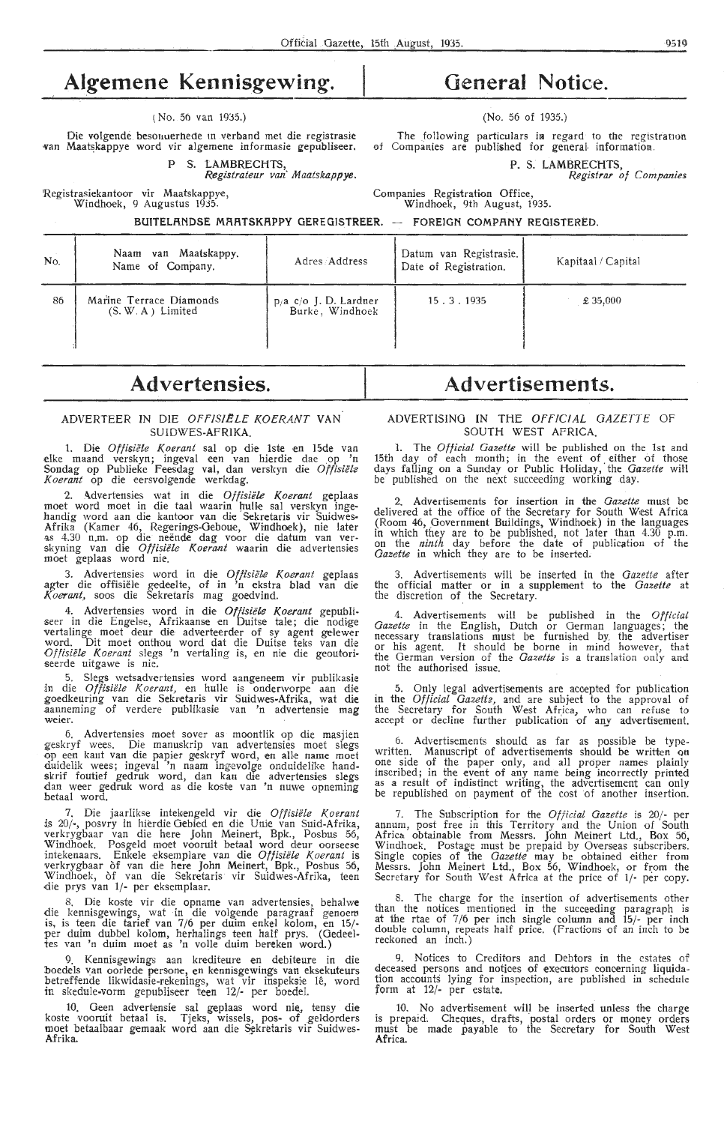# **Algemene Kennisgewing.**

# ( No. 56 van 1935.)

Die volgende besonuerhede in verband met die registrasie van Maatskappye word vir algemene informasie gepubliseer.

P S. LAMBRECHTS,

*Registrateur van· Maatskappye.* 

'Registrasiekantoor vir Maatskappye, Windhoek, 9 Augustus 1935.

# **General Notice.**

# (No: 56 of 1935.)

The following particulars in regard to the registration of Companies are published for general information.

P. S. LAMBRECHTS,

*Registrar of Companies* 

Companies Registration Office, Windhoek, 9th August, 1935.

BUITELANDSE MAATSKAPPY GEREGISTREER. - FOREIGN COMPANY REGISTERED.

| No. | Naam van Maatskappy,<br>Name of Company.       | Adres Address                            | Datum van Registrasie.<br>Date of Registration. | Kapitaal / Capital |
|-----|------------------------------------------------|------------------------------------------|-------------------------------------------------|--------------------|
| 86  | Marine Terrace Diamonds<br>$(S, W, A)$ Limited | p/a c/o J. D. Lardner<br>Burke, Windhoek | 15.3.1935                                       | \$35,000           |

# **Advertensies.**

# ADVERTEER IN DIE OFPISIELE KOERANT **VAN**  SUIDWES-AFRIKA.

1. Die *Offisiële Koerant* sal op die 1ste en 15de van elke maand verskyn; ingeval een van hierdie dae op 'n Sondag op Publieke Feesdag val, dan verskyn die Offisiële *Koerant* op die eersvolgende werkdag.

2. Advertensies wat in die Offisiële Koerant geplaas moet word moet in die taal waarin hulle sal verskyn ingemoet word moet in die taal waarin hulle sal verskyn inge-<br>handig word aan die kantoor van die Sekretaris vir Suidwes-Afrika (Kamer 46, Regerings-Oeboue, Windhoek), nie later as 4.30 n.m. op die neënde dag voor die datum van ver- skyning van die *Offisiële Koerant* waarin die advertensies moet geplaas word nie.

3. Advertensies word in die Offisiële Koerant geplaas agter die offisiële gedeelte, of in 'n ekstra blad van die *Koerant,* soos die Sekretaris mag goedvind.

4. Advertensies word in die *Offisiële Koerant* gepubli-<br>seer in die Engelse, Afrikaanse en Duitse tale; die nodige vertalinge moet deur die adverteerder of sy agent gelewer word. Dit moet onthou word dat die Duitse teks van die *Offisii!le Koerant* slegs 'n vertaling is, en nie die geoutoriseerde uitgawe is nie.

5. Slegs wetsadvertensies word aangeneem vir publikasie in die *Otfisii!le Koerant,* en hulle is onderworpe aan die goedkeuring van die Sekretaris vir Suidwes-Afrika, wat die aanneming of verdere publikasie van 'n advertensie mag weier.

6. Advertensies moet sover as moontlik op die masjien geskryf wees. Die manuskrip van advertensies moet slegs op een kant van die papier geskryf word, en aHe name moet duidelik wees; ingeval 'n naam ingevolge onduidelike handskrif foutief gedruk word, dan kan die advertensies slegs dan weer gedruk word as die koste van 'n nuwe opneming betaal word.

7. Die jaarlikse intekengeld vir die Offisiële Koerant is 20/-, posvry in hierdie Gebied en die Unie van Suid-Afrika, verkrygbaar van die here John Meinert, Bpk., Posbus 56, Windhoek. Posgeld moet vooruit betaal word deur oorseese<br>intekenaars. Enkele eksemplare van die *Offisiële Koerant* is verkrygbaar òf van die here John Meinert, Bpk., Posbus 56, Windhoek, of van die Sekretaris vir Suidwes-Afrika, teen die prys van 1/- per eksemplaar.

8. Die koste vir die opname van advertensies, behalwe die kennisgewings, wat in die volgende paragraaf genoem is, is teen die tarief van 7 /6 per duim enkeI kolom, en 15/ per duim dubbel kolom, herhalings teen half prys. (Gedeeltes van 'n duim moet as 'n volle duim bereken word.)

Kennisgewings aan krediteure en debiteure in die boedels van oorlede persone, en kennisgewings van eksekuteurs<br>betreffende likwidasie-rekenings, wat vir inspeksie lê, word in skedule-vorm gepubliseer teen 12/- per boedel.

10. Geen advertensie sal geplaas word nie, tensy die koste vooruit betaal is. Tjeks, wissels, pos- of geldorders moet betaalbaar gemaak word aan die Sekretaris vir Suidwes-Afrika.

# **Advertisements.**

# ADVERTISING IN TliE *OFFICIAL* GAZETTE OF SOUTH WEST AFRICA.

1. The *Official Gazette* will be published on the 1st and 15th day of each month; in the event of either of those days falling on a Sunday or Public Holiday, the *Gazette* will be published on the next succeeding working day.

2. Advertisements for insertion in the *Gazette* must be delivered at the office of the Secretary for South West Africa (Room 46, Government Buildings, Windhoek) in the languages<br>in which they are to be published, not later than 4.30 p.m.<br>on the *ninth* day before the date of publication of the Gazette in which they are to be inserted.

3. Advertisements wili be inserted in the *Gazette* after the official matter or in a supplement to the *Gazette* at the discretion of the Secretary.

4. Advertisements will be published in the *Official Gazette* in the English, Dutch or German languages; the necessary translations must be furnished by, the advertiser or his agent. It should be borne in mind however, that the German version of the *Gazette* is a translation only and not the authorised issue.

5. Only legal advertisements are accepted for publication in the *Official Oazett2,* and ar•e subject to the approval of the Secretary for South West Africa, who can refuse to accept or decline further publication of any advertisement.

6. Advertisements should as far as possible be typewritten. Manuscript of advertisements should be written on<br>one side of the paper only, and all proper names plainly inscribed; in the event of any name being incorrectly printed as a result of indistinct writing, the advertisement can only be republished on payment of the cost of another insertion.

7. The Subscription for the *Official Gazette* is 20/- per annum, post free in this Territory and the Union of South Africa obtainable from Messrs. John Meinert Ltd., Box 56, Windhoek. Postage must be prepaid by Overseas subscribers. Single copies of the *Gazette* may be obtained either from Messrs. John Meinert Ltd., Box 56, Windhoek, or from the Secretary for South West Africa at the price of 1/- per copy.

8. The charge for the insertion of advertisements other than the notices mentioned in the succeeding paragraph is at the rtae of 7/6 per inch single column and 15/- per inch double column, repeats half price. (Fractions of an inch to be reckoned an inch.)

9. Notices *to* Creditors and Debtors in the estates of deceased persons and notices of executors concerning liquidation accounts lying for inspection, are published in schedule form at 12/- per estate.

10. No advertisement wiH be inserted unless the charge is prepaid, Cheques, drafts, postal orders or money orders must be made payable to the Secretary for South West Africa.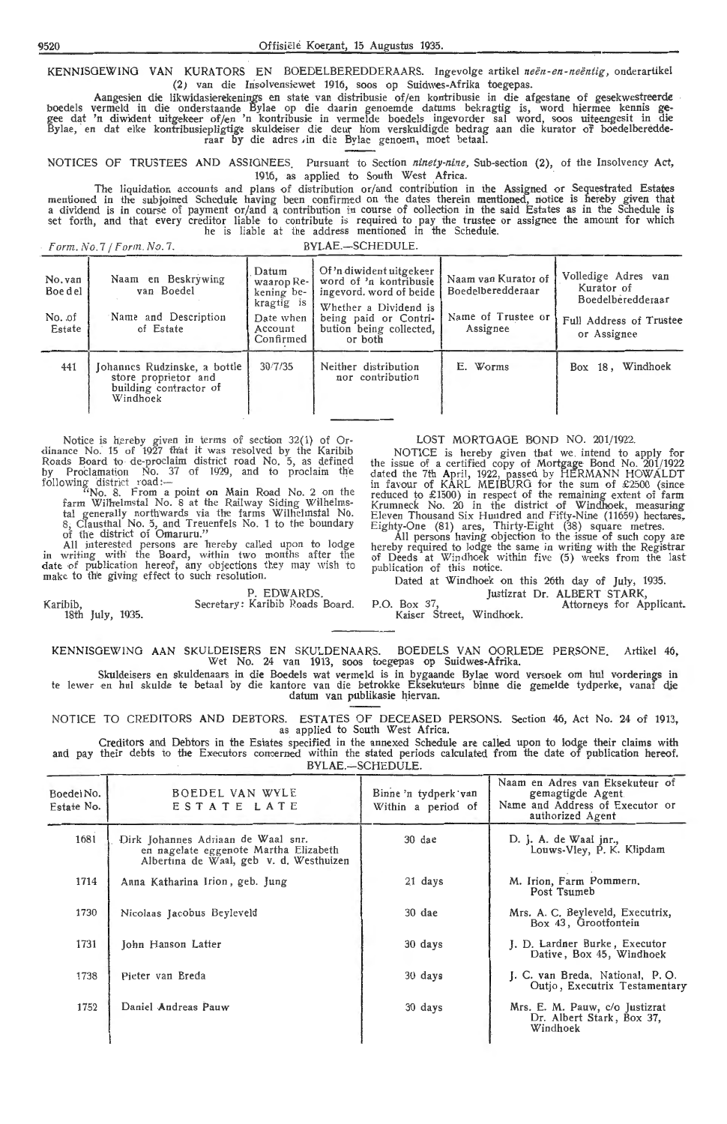KENNISGEWING VAN KURATORS EN BOEDELBEREDDERAARS. Ingevolge artikel neën-en-neëntig, onderartikel (2) van die Insolvensiewet 1916, soos op Suidwes-Afrika toegepas.

Aangesien die likwidasierekenings en state van distribusie of/en kontribusie in die afgestane of gesekwestreerde boedels vermeld in die onderstaande Bylae op die daarin genoemde datums bekragtig is, word hiermee kennis ge, gee dat 'n diwident uitgekeer of/en 'n kontribusie in vermelde boedels ingevorder sal word, soos uiteengesit in die Bylae, en dat elke kontribusiepligtige skuldeiser die deur hom verskuldigde bedrag aan die kurator of boedelberedderaar by die adres ,in die Bylae genoem, moet betaal.

NOTICES OF TRUSTEES AND ASSIGNEES. Pursuant to Section *ninety-nine*, Sub-section (2), of the Insolvency Act, 1916, as applied to South West Africa.

The liquidation accounts and plans of distribution or/and contribution in the Assigned or Sequestrated Estates mentioned in the subjoined Schedule having been confirmed on the dates therein mentioned, notice is hereby given that a dividend is in course of payment or/ and a contribution in course of collection in the said Estates as in the Schedule is set forth, and that every creditor liable to contribute is required to pay the trustee or assignee the amount for which he is liable at the address mentioned in the Schedule.

Form. No. 7 / Form. No. 7. BYLAE.-SCHEDULE.

18th July, 1935.

| No. van<br>Boe del<br>No. of<br>Estate | Naam en Beskrywing<br>van Boedel<br>Name and Description<br>of Estate                      | Datum<br>waarop Re-<br>kening be-<br>kragtig is<br>Date when<br>Account<br>Confirmed | Of 'n diwident uitgekeer<br>word of 'n kontribusie<br>ingevord, word of beide<br>Whether a Dividend is<br>being paid or Contri-<br>bution being collected,<br>or both | Naam van Kurator of<br>Boedelberedderaar<br>Name of Trustee or<br>Assignee | Volledige Adres van<br>Kurator of<br>Boedelberedderaar<br>Full Address of Trustee<br>or Assignee |
|----------------------------------------|--------------------------------------------------------------------------------------------|--------------------------------------------------------------------------------------|-----------------------------------------------------------------------------------------------------------------------------------------------------------------------|----------------------------------------------------------------------------|--------------------------------------------------------------------------------------------------|
| 441                                    | Johannes Rudzinske, a bottle<br>store proprietor and<br>building contractor of<br>Windhoek | 30/7/35                                                                              | Neither distribution<br>nor contribution                                                                                                                              | E. Worms                                                                   | Windhoek<br>Box $18.$                                                                            |

Notice is hereby given in terms of section 32(1) of Or-<br>dinance No. 15 of 1927 that it was resolved by the Karibib Roads Board to de-proclaim district road No. 5, as defined by Proclamation No. 37 of 1929, and to proclaim the following district road:—<br>"No. 8. From a point on Main Road No. 2 on the

farm Wilhelmstal No. 8 at the Railway Siding Wilhelmstal generally northwards via the farms Wilhelmstal No. 8, Clausthal No. 5, and Treuenfels No. 1 to the boundary of the district of Omaruru."

All interested persons- are hereby called upon to lodge in writing with the Board, within two months after the date of publication hereof, any objections they may wish to make to the giving effect to such resolution.

P. EDWARDS. Karibib, Secretary: Karibib Roads Board.

# LOST MORTGAGE BOND NO. 201/1922.

NOTICE is hereby given that we . intend *to* apply for the issue of a certified copy of Mortgage Bond No. 201/1922 dated the 7th April, 1922, passed by HERMANN HOWALDT in favour of KARL MEIBURG for the sum of £2500 (since reduced to £1500) in respect of the remaining extent of farm Krumneck No. 20 in the district of Windhoek, measuring Eleven Thousand Six Hundred and Fifty-Nine (11659) hectares, Eighty-One (81) ares, Thirty-Eight (38) square metres.

All persons having objection to the issue of such copy are hereby required to lodge the same in writing with the Registrar of Deeds at Windhoek within five (5) weeks from the last publication of this notice.

Dated at Windhoek on this 25th day of July, 1935.

Justizrat Dr. ALBERT STARK,

P.O. Box 37, Kaiser Street, Windhoek. Attorneys for Applicant.

KENNISOEWING AAN SKULDEISERS EN SKULDENAARS. BOEDELS VAN OORLEDE PERSONE. Artikel 46, Wet No. 24 van 1913, soos toegepas op Suidwes-Afrika.

Skuldeisers en skuldenaars in die Boedels wat vermeld is in bygaande Bylae word versoek om hul vorderings in te lewer en hul skulde te betaal by die kantore van die betrokke Eksekuteurs binne die gemelde tydperke, vanaf die datum van publikasie hiervan.

NOTICE TO CREDITORS AND DEBTORS. ESTATES OF DECEASED PERSONS. Section 46, Act No. 24 of 1913, as applied to South West Africa.

Creditors and Debtors in the Estates specified in the annexed Schedule are called upon to lodge their claims with and pay their debts to the Executors concerned within the stated periods calculated from the date of publication hereof. BYLAE.-SCHEDULE.

| Boedel No.<br>Estate No. | BOEDEL VAN WYLE<br>ESTATE LATE                                                                                         | Binne 'n tydperk van<br>Within a period of | Naam en Adres van Eksekuteur of<br>gemagtigde Agent<br>Name and Address of Executor or<br>authorized Agent |
|--------------------------|------------------------------------------------------------------------------------------------------------------------|--------------------------------------------|------------------------------------------------------------------------------------------------------------|
| 1681                     | Dirk Johannes Adriaan de Waal snr.<br>en nagelate eggenote Martha Elizabeth<br>Albertina de Waal, geb v. d. Westhuizen | 30 dae                                     | D. J. A. de Waal jnr.,<br>Louws-Vley, P. K. Klipdam                                                        |
| 1714                     | Anna Katharina Irion, geb. Jung                                                                                        | 21 days                                    | M. Irion, Farm Pommern,<br>Post Tsumeb                                                                     |
| 1730                     | Nicolaas Jacobus Beyleveld                                                                                             | 30 dae                                     | Mrs. A. C. Beyleveld, Executrix,<br>Box 43, Grootfontein                                                   |
| 1731                     | John Hanson Latter                                                                                                     | 30 days                                    | J. D. Lardner Burke, Executor<br>Dative, Box 45, Windhoek                                                  |
| 1738                     | Pieter van Breda                                                                                                       | 30 days                                    | J. C. van Breda, National, P.O.<br>Outjo, Executrix Testamentary                                           |
| 1752                     | Daniel Andreas Pauw                                                                                                    | 30 days                                    | Mrs. E. M. Pauw, c/o Justizrat<br>Dr. Albert Stark, Box 37,<br>Windhoek                                    |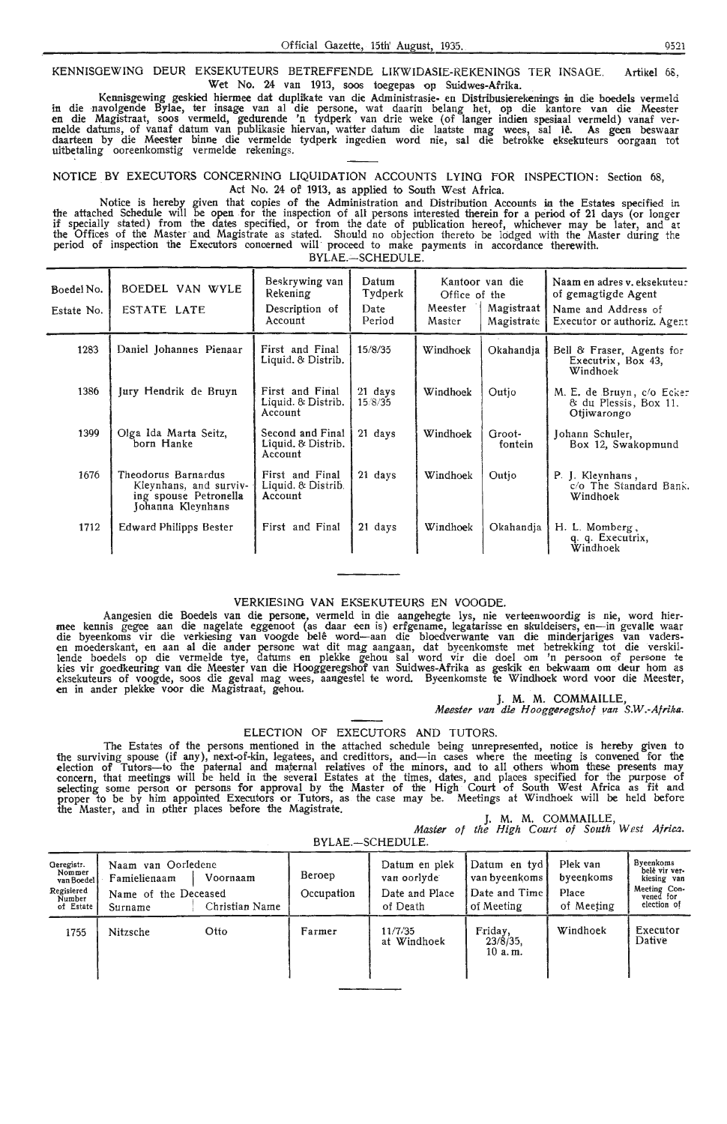# **KENNISOEWINO DEUR** EKSEKUTEURS BETREFFENDE LIKWIDASIE-REKENINGS TER INSAGE. Artikel 68, Wet No. 24 van 1913, soos toegepas op Suidwes-Afrika.

Kennisgewing geskied hiermee dat duplikate van die Administrasie- en Distribusierekenings in die boedels vermeld in die navolgende Bylae, ter insage van al die persone, wat daarin belang het, op die kantore van die Meester<br>en die Magistraat, soos vermeld, gedurende 'n tydperk van drie weke (of langer indien spesiaal vermeld) vanaf<br>me daarteen by die Meester binne die vermelde tydperk ingedien word nie, sal die betrokke eksekuteurs oorgaan tot uitbetaling ooreenkomstig vermelde rekenings.

# NOTICE BY EXECUTORS CONCERNING LIQUIDATION ACCOUNTS LYING FOR INSPECTION: Section 68, Act No. 24 of 1913, as applied to South West Africa.

Notice is hereby given that copies of the Administration and Distribution Accounts in the Estates specified in the attached Schedule will be open for the inspection of all persons interested therein for a period of 21 days (or longer if specially stated) from the dates specified, or from the date of publication hereof, whichever may be later, and at the Offices of the Master and Magistrate as stated. Should no objection thereto be lodged with the Master during the period of inspection the Executors oonoerned will proceed to make payments in accordance therewith.

BYLAE.-SCHEDULE.

| Boedel No.<br>Estate No. | BOEDEL VAN WYLE<br>ESTATE LATE                                                              | Beskrywing van<br>Rekening<br>Description of<br>Account | Datum<br>Tydperk<br>Date<br>Period | Office of the<br>Meester<br>Master | Kantoor van die<br>Magistraat<br>Magistrate | Naam en adres v. eksekuteu.<br>of gemagtigde Agent<br>Name and Address of<br>Executor or authoriz. Agent |
|--------------------------|---------------------------------------------------------------------------------------------|---------------------------------------------------------|------------------------------------|------------------------------------|---------------------------------------------|----------------------------------------------------------------------------------------------------------|
| 1283                     | Daniel Johannes Pienaar                                                                     | First and Final<br>Liquid. & Distrib.                   | 15/8/35                            | Windhoek                           | Okahandia                                   | Bell & Fraser, Agents for<br>Executrix, Box 43,<br>Windhoek                                              |
| 1386                     | Jury Hendrik de Bruyn                                                                       | First and Final<br>Liquid. & Distrib.<br>Account        | 21 days<br>15/8/35                 | Windhoek                           | Outjo                                       | M. E. de Bruyn, c/o Ecker<br>& du Plessis, Box 11.<br>Otjiwarongo                                        |
| 1399                     | Olga Ida Marta Seitz,<br>born Hanke                                                         | Second and Final<br>Liquid, & Distrib.<br>Account       | 21 days                            | Windhoek                           | Groot-<br>fontein                           | Johann Schuler,<br>Box 12, Swakopmund                                                                    |
| 1676                     | Theodorus Barnardus<br>Kleynhans, and surviv-<br>ing spouse Petronella<br>Johanna Kleynhans | First and Final<br>Liquid. & Distrib.<br>Account        | 21 days                            | Windhoek                           | Outio                                       | P. J. Kleynhans,<br>c/o The Standard Bank.<br>Windhoek                                                   |
| 1712                     | Edward Philipps Bester                                                                      | First and Final                                         | 21 days                            | Windhoek                           | Okahandia                                   | H. L. Momberg,<br>q. q. Executrix,<br>Windhoek                                                           |

# VERKIESING VAN EKSEKUTEURS EN VOOODE.

Aangesien die Boedels van die persone, vermeld in die aangehegte lys, nie verteenwoordig is nie, word hier-<br>mee kennis gegee aan die nagelate eggenoot (as daar een is) erfgename, legatarisse en skuldeisers, en—in gevalle w lende boedels op die vermelde tye, datums en plekke gehou sal word vir die doel om 'n persoon of persone te kies vir goedkeuring van die Meester van die Hooggeregshof van Suidwes-Afrika as geskik en bekwaam om deur hom as<br>eksekuteurs of voogde, soos die geval mag wees, aangestel te word. Byeenkomste te Windhoek word voor die Mee **en** in antler plekke voor die Magistraat, gehou. J. M. M. COMMAILLE,

# *Meester van* die *Hoogger.egshof yan S.W.-Afrika.*

# ELECTION OF EXECUTORS AND TUTORS.

The Estates of the persons mentioned in the attached schedule being unrepresented, notice is hereby given to<br>the surviving spouse (if any), next-of-kin, legatees, and credittors, and—in cases where the meeting is convened election of Tutors-to the paternal and maternal relatives of the minors, and to all others whom these presents may concern, that meetings **will** be held in the several Estates at the times, dates, and places specified for the purpose of selecting some person or persons for approval by the Master of the High Court of South West Africa as fit and proper to be by him appointed Executors or Tutors, as the case may be. Meetings at Windhoek will be held before the Master, and in other places before the Magistrate.

J. M. M. COMMAILLE,<br>*Master of the High Court of South West Africa*.

| BYLAE.-SCHEDULE.                                                        |                                                                       |                            |                      |                                                            |                                                              |                                              |                                                                                       |  |
|-------------------------------------------------------------------------|-----------------------------------------------------------------------|----------------------------|----------------------|------------------------------------------------------------|--------------------------------------------------------------|----------------------------------------------|---------------------------------------------------------------------------------------|--|
| Geregistr.<br>Nommer<br>van Boedel<br>Regisiered<br>Number<br>of Estate | Naam van Oorledene<br>Famielienaam<br>Name of the Deceased<br>Surname | Voornaam<br>Christian Name | Beroep<br>Occupation | Datum en plek<br>van oorlyde<br>Date and Place<br>of Death | Datum en tyd<br>van byeenkoms<br>Date and Time<br>of Meeting | Plek van<br>byeenkoms<br>Place<br>of Meeting | Byeenkoms<br>belê vir ver-<br>kiesing van<br>Meeting Con-<br>vened for<br>election of |  |
| 1755                                                                    | Nitzsche                                                              | Otto                       | Farmer               | 11/7/35<br>at Windhoek                                     | Friday,<br>$23/8/35$ ,<br>10 a.m.                            | Windhoek                                     | Executor<br>Dative                                                                    |  |
|                                                                         |                                                                       |                            |                      |                                                            |                                                              |                                              |                                                                                       |  |